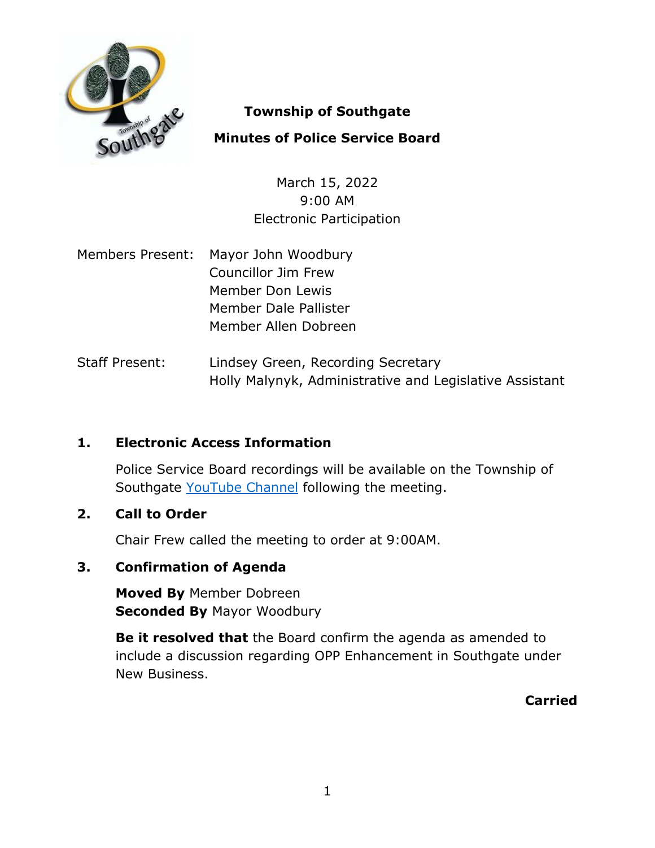

## **Township of Southgate**

# **Minutes of Police Service Board**

March 15, 2022 9:00 AM Electronic Participation

- Members Present: Mayor John Woodbury Councillor Jim Frew Member Don Lewis Member Dale Pallister Member Allen Dobreen
- Staff Present: Lindsey Green, Recording Secretary Holly Malynyk, Administrative and Legislative Assistant

## **1. Electronic Access Information**

Police Service Board recordings will be available on the Township of Southgate [YouTube Channel](https://www.youtube.com/user/SouthgateTownship) following the meeting.

## **2. Call to Order**

Chair Frew called the meeting to order at 9:00AM.

# **3. Confirmation of Agenda**

**Moved By** Member Dobreen **Seconded By** Mayor Woodbury

**Be it resolved that** the Board confirm the agenda as amended to include a discussion regarding OPP Enhancement in Southgate under New Business.

**Carried**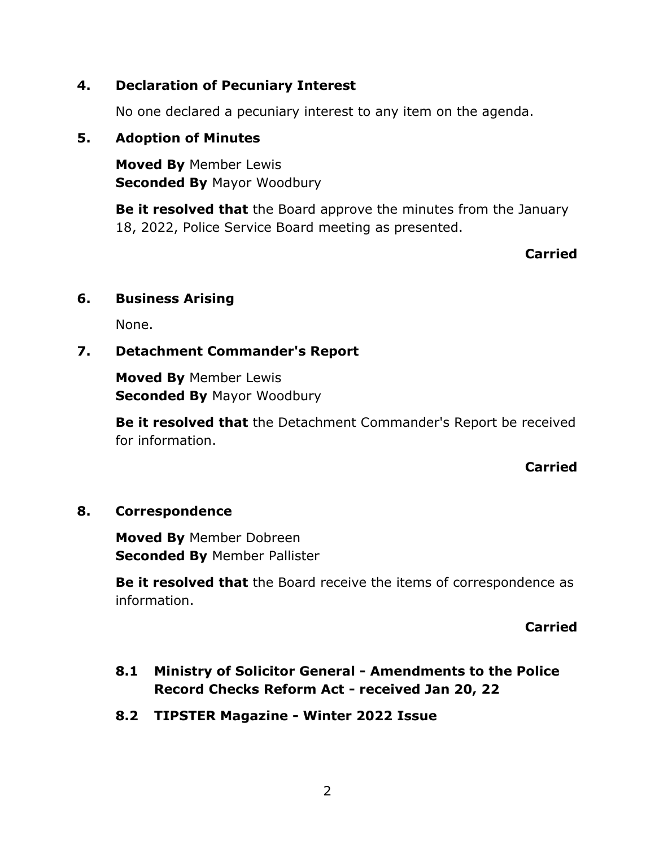## **4. Declaration of Pecuniary Interest**

No one declared a pecuniary interest to any item on the agenda.

### **5. Adoption of Minutes**

**Moved By** Member Lewis **Seconded By** Mayor Woodbury

**Be it resolved that** the Board approve the minutes from the January 18, 2022, Police Service Board meeting as presented.

### **Carried**

### **6. Business Arising**

None.

## **7. Detachment Commander's Report**

**Moved By** Member Lewis **Seconded By** Mayor Woodbury

**Be it resolved that** the Detachment Commander's Report be received for information.

### **Carried**

### **8. Correspondence**

**Moved By** Member Dobreen **Seconded By** Member Pallister

**Be it resolved that** the Board receive the items of correspondence as information.

**Carried**

- **8.1 Ministry of Solicitor General - Amendments to the Police Record Checks Reform Act - received Jan 20, 22**
- **8.2 TIPSTER Magazine - Winter 2022 Issue**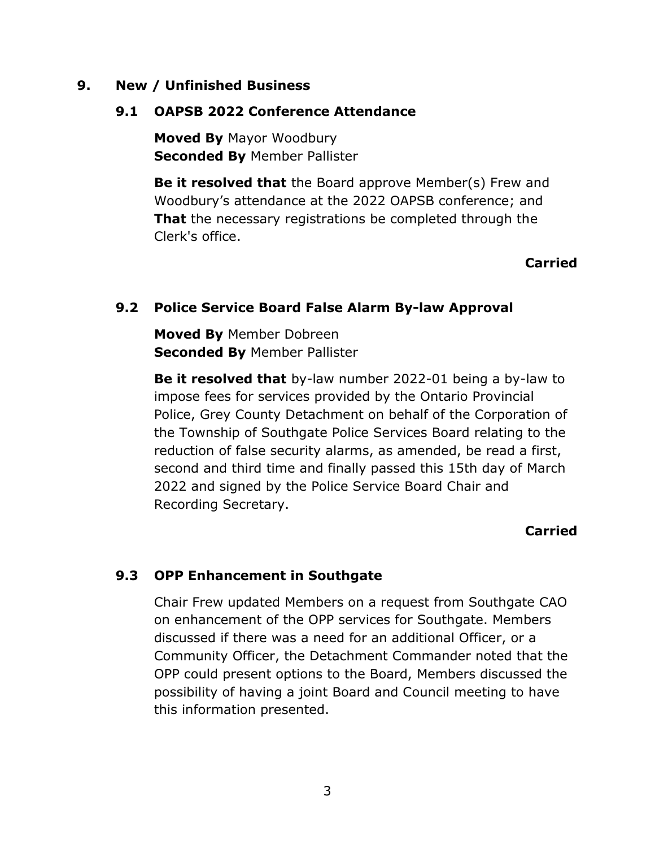#### **9. New / Unfinished Business**

#### **9.1 OAPSB 2022 Conference Attendance**

**Moved By** Mayor Woodbury **Seconded By** Member Pallister

**Be it resolved that** the Board approve Member(s) Frew and Woodbury's attendance at the 2022 OAPSB conference; and **That** the necessary registrations be completed through the Clerk's office.

## **Carried**

### **9.2 Police Service Board False Alarm By-law Approval**

**Moved By** Member Dobreen **Seconded By** Member Pallister

**Be it resolved that** by-law number 2022-01 being a by-law to impose fees for services provided by the Ontario Provincial Police, Grey County Detachment on behalf of the Corporation of the Township of Southgate Police Services Board relating to the reduction of false security alarms, as amended, be read a first, second and third time and finally passed this 15th day of March 2022 and signed by the Police Service Board Chair and Recording Secretary.

#### **Carried**

### **9.3 OPP Enhancement in Southgate**

Chair Frew updated Members on a request from Southgate CAO on enhancement of the OPP services for Southgate. Members discussed if there was a need for an additional Officer, or a Community Officer, the Detachment Commander noted that the OPP could present options to the Board, Members discussed the possibility of having a joint Board and Council meeting to have this information presented.